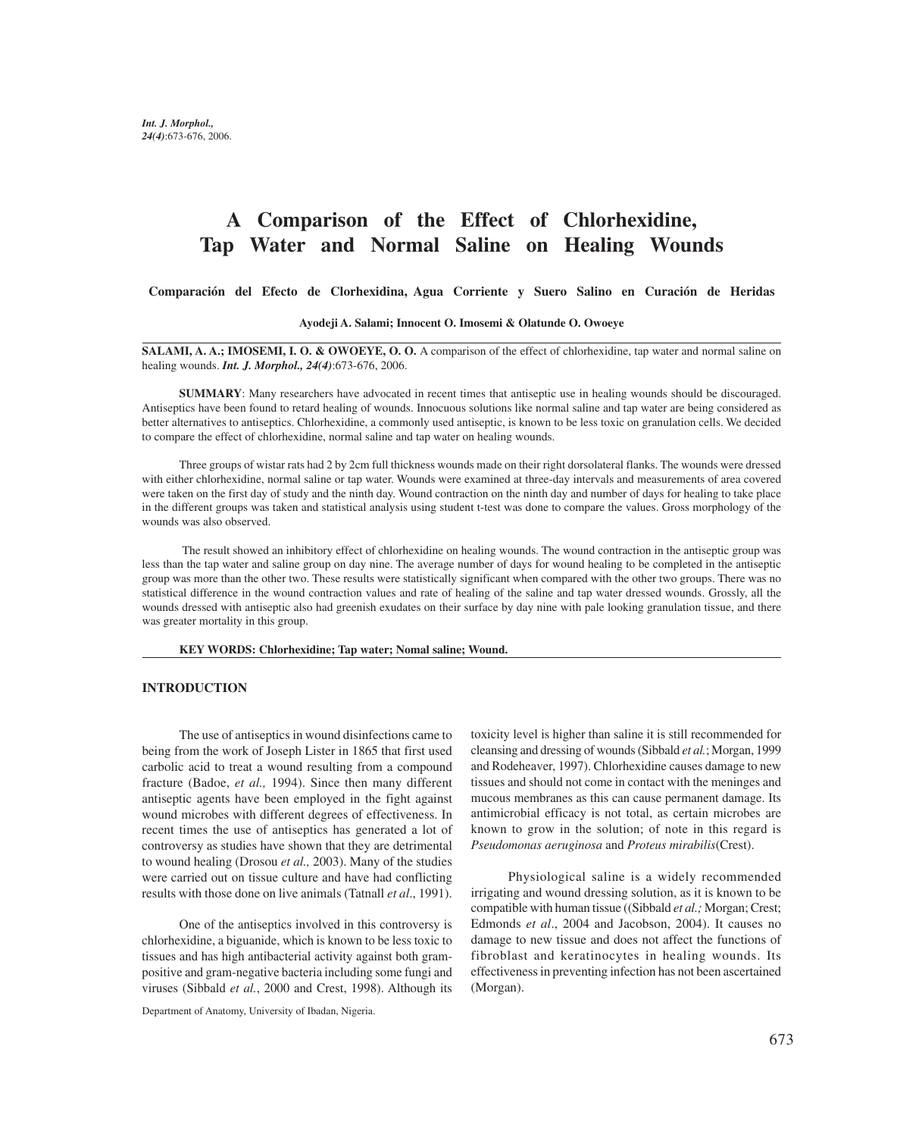# **A Comparison of the Effect of Chlorhexidine, Tap Water and Normal Saline on Healing Wounds**

**Comparación del Efecto de Clorhexidina, Agua Corriente y Suero Salino en Curación de Heridas**

#### **Ayodeji A. Salami; Innocent O. Imosemi & Olatunde O. Owoeye**

**SALAMI, A. A.; IMOSEMI, I. O. & OWOEYE, O. O.** A comparison of the effect of chlorhexidine, tap water and normal saline on healing wounds. *Int. J. Morphol., 24(4)*:673-676, 2006.

**SUMMARY**: Many researchers have advocated in recent times that antiseptic use in healing wounds should be discouraged. Antiseptics have been found to retard healing of wounds. Innocuous solutions like normal saline and tap water are being considered as better alternatives to antiseptics. Chlorhexidine, a commonly used antiseptic, is known to be less toxic on granulation cells. We decided to compare the effect of chlorhexidine, normal saline and tap water on healing wounds.

Three groups of wistar rats had 2 by 2cm full thickness wounds made on their right dorsolateral flanks. The wounds were dressed with either chlorhexidine, normal saline or tap water. Wounds were examined at three-day intervals and measurements of area covered were taken on the first day of study and the ninth day. Wound contraction on the ninth day and number of days for healing to take place in the different groups was taken and statistical analysis using student t-test was done to compare the values. Gross morphology of the wounds was also observed.

The result showed an inhibitory effect of chlorhexidine on healing wounds. The wound contraction in the antiseptic group was less than the tap water and saline group on day nine. The average number of days for wound healing to be completed in the antiseptic group was more than the other two. These results were statistically significant when compared with the other two groups. There was no statistical difference in the wound contraction values and rate of healing of the saline and tap water dressed wounds. Grossly, all the wounds dressed with antiseptic also had greenish exudates on their surface by day nine with pale looking granulation tissue, and there was greater mortality in this group.

**KEY WORDS: Chlorhexidine; Tap water; Nomal saline; Wound.**

### **INTRODUCTION**

The use of antiseptics in wound disinfections came to being from the work of Joseph Lister in 1865 that first used carbolic acid to treat a wound resulting from a compound fracture (Badoe, *et al.,* 1994). Since then many different antiseptic agents have been employed in the fight against wound microbes with different degrees of effectiveness. In recent times the use of antiseptics has generated a lot of controversy as studies have shown that they are detrimental to wound healing (Drosou *et al.,* 2003). Many of the studies were carried out on tissue culture and have had conflicting results with those done on live animals (Tatnall *et al*., 1991).

One of the antiseptics involved in this controversy is chlorhexidine, a biguanide, which is known to be less toxic to tissues and has high antibacterial activity against both grampositive and gram-negative bacteria including some fungi and viruses (Sibbald *et al.*, 2000 and Crest, 1998). Although its

Department of Anatomy, University of Ibadan, Nigeria.

toxicity level is higher than saline it is still recommended for cleansing and dressing of wounds (Sibbald *et al.*; Morgan, 1999 and Rodeheaver, 1997). Chlorhexidine causes damage to new tissues and should not come in contact with the meninges and mucous membranes as this can cause permanent damage. Its antimicrobial efficacy is not total, as certain microbes are known to grow in the solution; of note in this regard is *Pseudomonas aeruginosa* and *Proteus mirabilis*(Crest).

Physiological saline is a widely recommended irrigating and wound dressing solution, as it is known to be compatible with human tissue ((Sibbald *et al.;* Morgan; Crest; Edmonds *et al*., 2004 and Jacobson, 2004). It causes no damage to new tissue and does not affect the functions of fibroblast and keratinocytes in healing wounds. Its effectiveness in preventing infection has not been ascertained (Morgan).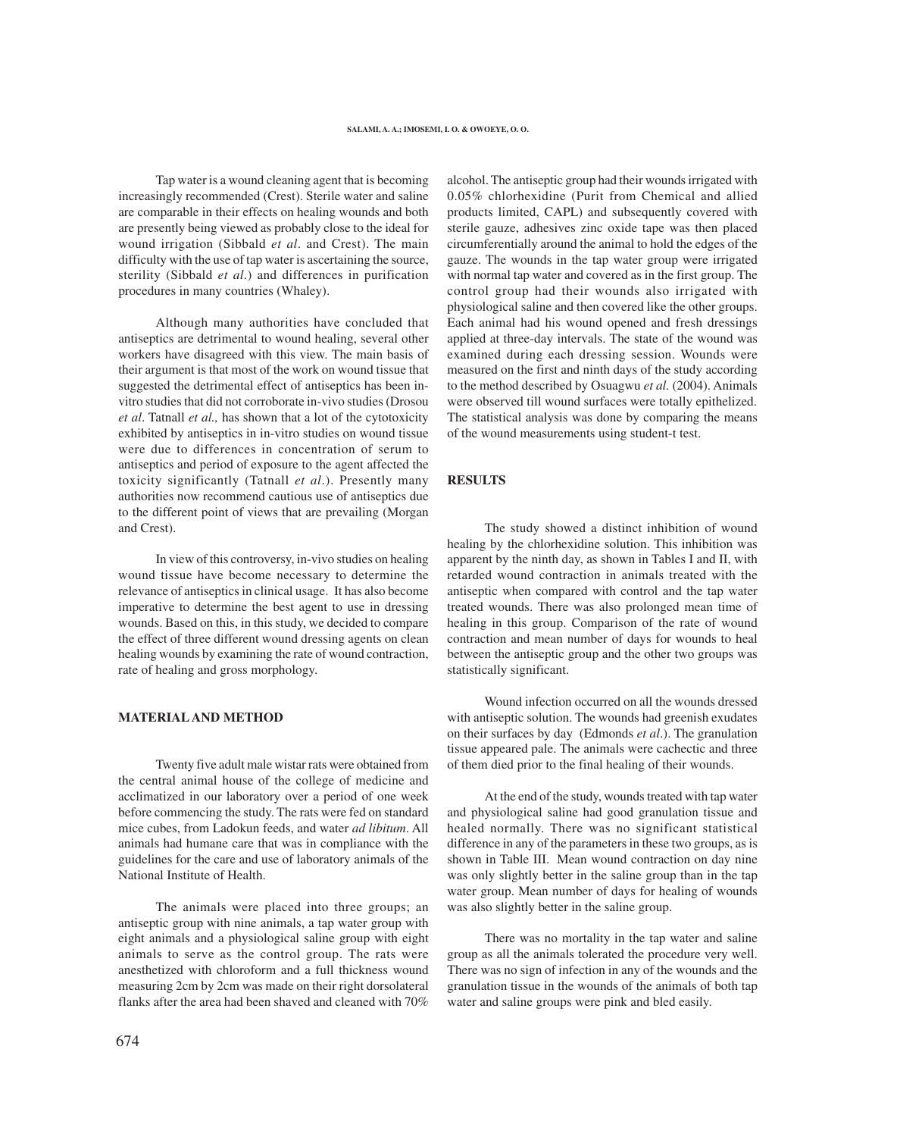Tap water is a wound cleaning agent that is becoming increasingly recommended (Crest). Sterile water and saline are comparable in their effects on healing wounds and both are presently being viewed as probably close to the ideal for wound irrigation (Sibbald *et al*. and Crest). The main difficulty with the use of tap water is ascertaining the source, sterility (Sibbald *et al*.) and differences in purification procedures in many countries (Whaley).

Although many authorities have concluded that antiseptics are detrimental to wound healing, several other workers have disagreed with this view. The main basis of their argument is that most of the work on wound tissue that suggested the detrimental effect of antiseptics has been invitro studies that did not corroborate in-vivo studies (Drosou *et al*. Tatnall *et al.,* has shown that a lot of the cytotoxicity exhibited by antiseptics in in-vitro studies on wound tissue were due to differences in concentration of serum to antiseptics and period of exposure to the agent affected the toxicity significantly (Tatnall *et al*.). Presently many authorities now recommend cautious use of antiseptics due to the different point of views that are prevailing (Morgan and Crest).

In view of this controversy, in-vivo studies on healing wound tissue have become necessary to determine the relevance of antiseptics in clinical usage. It has also become imperative to determine the best agent to use in dressing wounds. Based on this, in this study, we decided to compare the effect of three different wound dressing agents on clean healing wounds by examining the rate of wound contraction, rate of healing and gross morphology.

### **MATERIAL AND METHOD**

Twenty five adult male wistar rats were obtained from the central animal house of the college of medicine and acclimatized in our laboratory over a period of one week before commencing the study. The rats were fed on standard mice cubes, from Ladokun feeds, and water *ad libitum*. All animals had humane care that was in compliance with the guidelines for the care and use of laboratory animals of the National Institute of Health.

The animals were placed into three groups; an antiseptic group with nine animals, a tap water group with eight animals and a physiological saline group with eight animals to serve as the control group. The rats were anesthetized with chloroform and a full thickness wound measuring 2cm by 2cm was made on their right dorsolateral flanks after the area had been shaved and cleaned with 70%

alcohol. The antiseptic group had their wounds irrigated with 0.05% chlorhexidine (Purit from Chemical and allied products limited, CAPL) and subsequently covered with sterile gauze, adhesives zinc oxide tape was then placed circumferentially around the animal to hold the edges of the gauze. The wounds in the tap water group were irrigated with normal tap water and covered as in the first group. The control group had their wounds also irrigated with physiological saline and then covered like the other groups. Each animal had his wound opened and fresh dressings applied at three-day intervals. The state of the wound was examined during each dressing session. Wounds were measured on the first and ninth days of the study according to the method described by Osuagwu *et al.* (2004). Animals were observed till wound surfaces were totally epithelized. The statistical analysis was done by comparing the means of the wound measurements using student-t test.

## **RESULTS**

The study showed a distinct inhibition of wound healing by the chlorhexidine solution. This inhibition was apparent by the ninth day, as shown in Tables I and II, with retarded wound contraction in animals treated with the antiseptic when compared with control and the tap water treated wounds. There was also prolonged mean time of healing in this group. Comparison of the rate of wound contraction and mean number of days for wounds to heal between the antiseptic group and the other two groups was statistically significant.

Wound infection occurred on all the wounds dressed with antiseptic solution. The wounds had greenish exudates on their surfaces by day (Edmonds *et al*.). The granulation tissue appeared pale. The animals were cachectic and three of them died prior to the final healing of their wounds.

At the end of the study, wounds treated with tap water and physiological saline had good granulation tissue and healed normally. There was no significant statistical difference in any of the parameters in these two groups, as is shown in Table III. Mean wound contraction on day nine was only slightly better in the saline group than in the tap water group. Mean number of days for healing of wounds was also slightly better in the saline group.

There was no mortality in the tap water and saline group as all the animals tolerated the procedure very well. There was no sign of infection in any of the wounds and the granulation tissue in the wounds of the animals of both tap water and saline groups were pink and bled easily.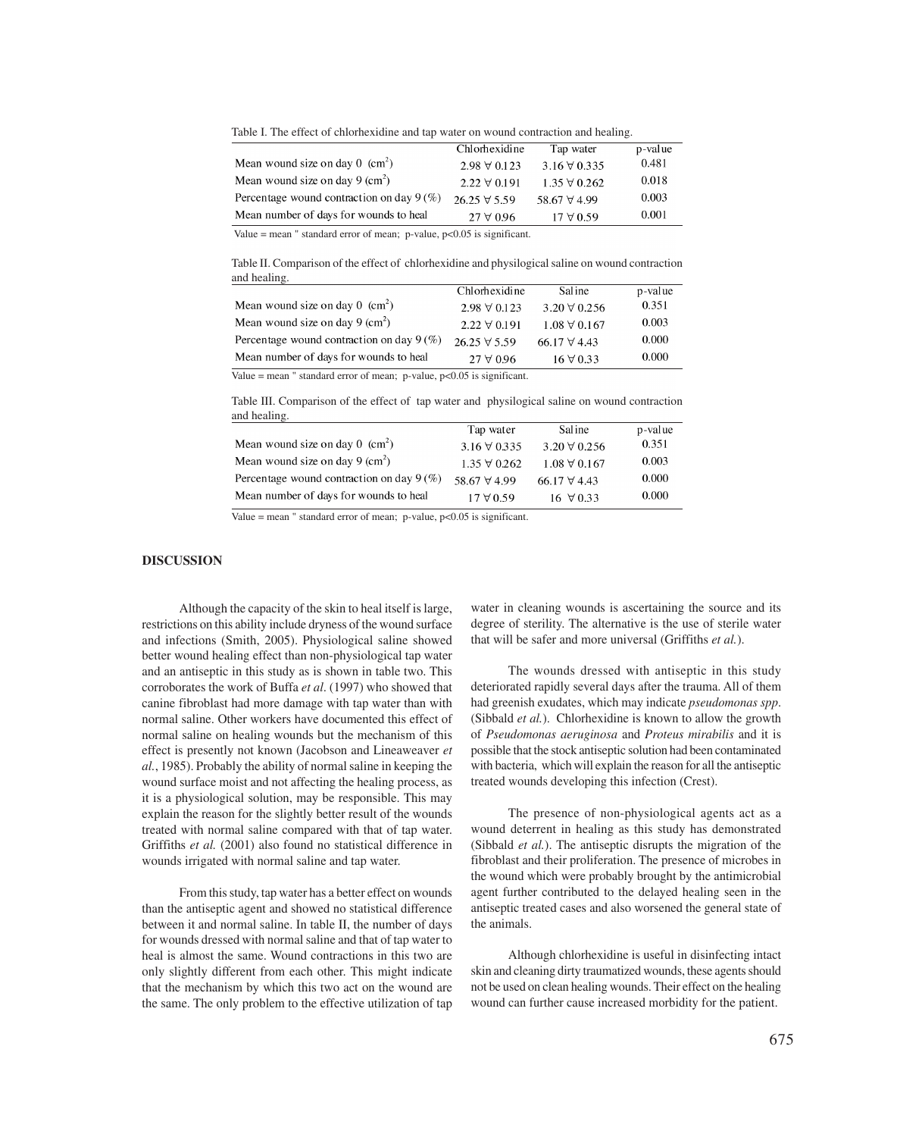Table I. The effect of chlorhexidine and tap water on wound contraction and healing.

|                                              | Chlorhexidine        | Tap water            | p-value |
|----------------------------------------------|----------------------|----------------------|---------|
|                                              |                      |                      |         |
| Mean wound size on day $0 \text{ (cm}^2)$    | $2.98 \forall 0.123$ | $3.16 \forall 0.335$ | 0.481   |
| Mean wound size on day 9 $\text{cm}^2$ )     | $2.22 \forall 0.191$ | $1.35 \forall 0.262$ | 0.018   |
| Percentage wound contraction on day $9\,(%)$ | $26.25 \forall 5.59$ | 58.67 $\forall$ 4.99 | 0.003   |
| Mean number of days for wounds to heal       | $27 \forall 0.96$    | $17 \forall 0.59$    | 0.001   |
|                                              |                      |                      |         |

Value = mean " standard error of mean;  $p$ -value,  $p$ <0.05 is significant.

Table II. Comparison of the effect of chlorhexidine and physilogical saline on wound contraction and healing.

|                                              | Chlorhexidine        | Sal ine              | p-value |
|----------------------------------------------|----------------------|----------------------|---------|
| Mean wound size on day $0 \text{ (cm}^2)$    | $2.98 \forall 0.123$ | $3.20 \forall 0.256$ | 0.351   |
| Mean wound size on day 9 $(cm2)$             | $2.22 \forall 0.191$ | $1.08 \forall 0.167$ | 0.003   |
| Percentage wound contraction on day $9\,(%)$ | $26.25 \forall 5.59$ | 66.17 $\forall$ 4.43 | 0.000   |
| Mean number of days for wounds to heal       | $27 \forall 0.96$    | $16 \forall 0.33$    | 0.000   |
|                                              |                      |                      |         |

Value = mean " standard error of mean; p-value,  $p<0.05$  is significant.

Table III. Comparison of the effect of tap water and physilogical saline on wound contraction and healing.

|                      |                      | p-value |
|----------------------|----------------------|---------|
| $3.16 \forall 0.335$ | $3.20 \forall 0.256$ | 0.351   |
| $1.35 \forall 0.262$ | $1.08 \forall 0.167$ | 0.003   |
| 58.67 $\forall$ 4.99 | 66.17 $\forall$ 4.43 | 0.000   |
| $17 \forall 0.59$    | $16 \forall 0.33$    | 0.000   |
|                      | Tap water            | Saline  |

Value = mean " standard error of mean; p-value,  $p < 0.05$  is significant.

## **DISCUSSION**

Although the capacity of the skin to heal itself is large, restrictions on this ability include dryness of the wound surface and infections (Smith, 2005). Physiological saline showed better wound healing effect than non-physiological tap water and an antiseptic in this study as is shown in table two. This corroborates the work of Buffa *et al*. (1997) who showed that canine fibroblast had more damage with tap water than with normal saline. Other workers have documented this effect of normal saline on healing wounds but the mechanism of this effect is presently not known (Jacobson and Lineaweaver *et al.*, 1985). Probably the ability of normal saline in keeping the wound surface moist and not affecting the healing process, as it is a physiological solution, may be responsible. This may explain the reason for the slightly better result of the wounds treated with normal saline compared with that of tap water. Griffiths *et al.* (2001) also found no statistical difference in wounds irrigated with normal saline and tap water.

From this study, tap water has a better effect on wounds than the antiseptic agent and showed no statistical difference between it and normal saline. In table II, the number of days for wounds dressed with normal saline and that of tap water to heal is almost the same. Wound contractions in this two are only slightly different from each other. This might indicate that the mechanism by which this two act on the wound are the same. The only problem to the effective utilization of tap

water in cleaning wounds is ascertaining the source and its degree of sterility. The alternative is the use of sterile water that will be safer and more universal (Griffiths *et al.*).

The wounds dressed with antiseptic in this study deteriorated rapidly several days after the trauma. All of them had greenish exudates, which may indicate *pseudomonas spp*. (Sibbald *et al.*). Chlorhexidine is known to allow the growth of *Pseudomonas aeruginosa* and *Proteus mirabilis* and it is possible that the stock antiseptic solution had been contaminated with bacteria, which will explain the reason for all the antiseptic treated wounds developing this infection (Crest).

The presence of non-physiological agents act as a wound deterrent in healing as this study has demonstrated (Sibbald *et al.*). The antiseptic disrupts the migration of the fibroblast and their proliferation. The presence of microbes in the wound which were probably brought by the antimicrobial agent further contributed to the delayed healing seen in the antiseptic treated cases and also worsened the general state of the animals.

Although chlorhexidine is useful in disinfecting intact skin and cleaning dirty traumatized wounds, these agents should not be used on clean healing wounds. Their effect on the healing wound can further cause increased morbidity for the patient.